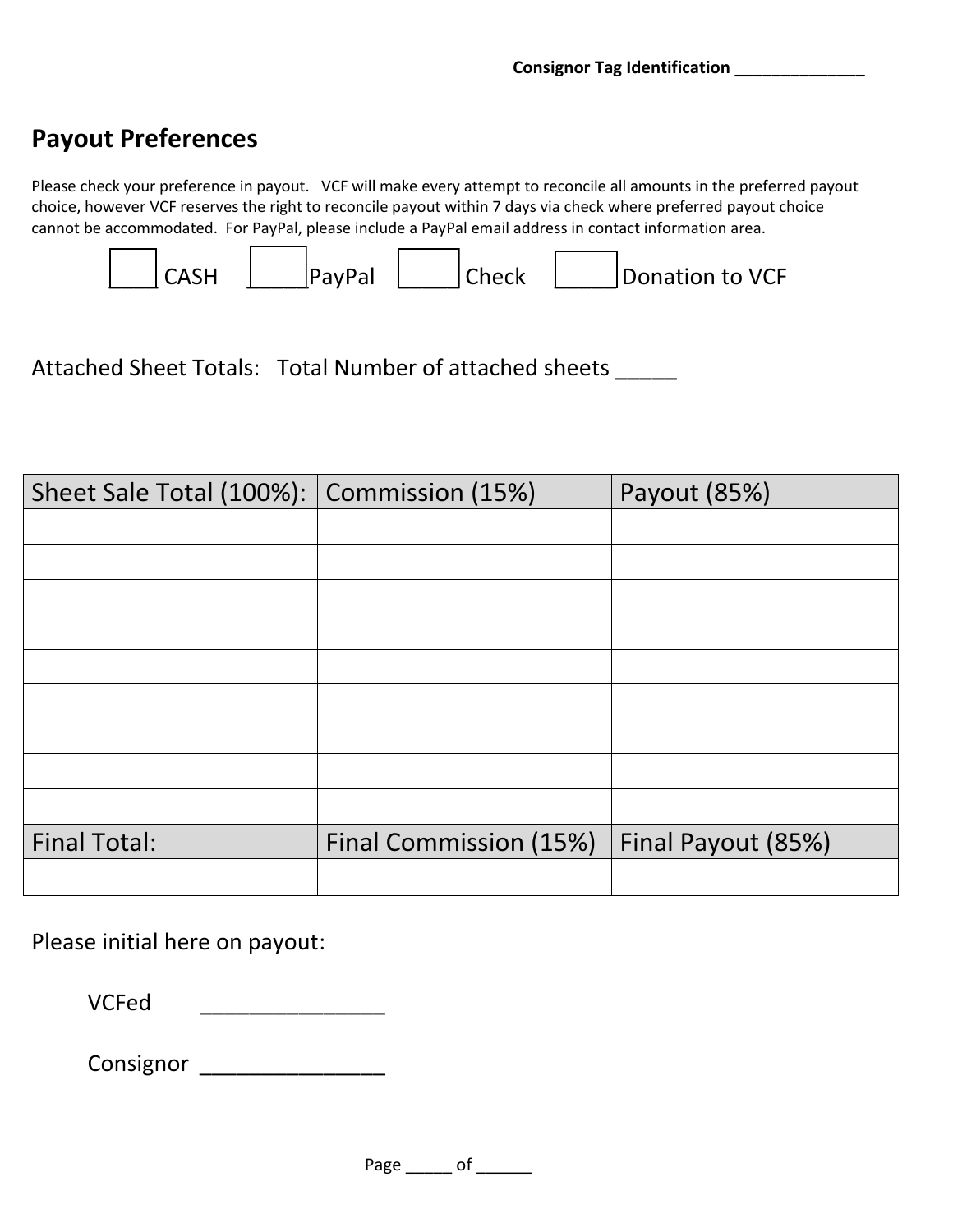VCF staff use only

## **Payout Preferences**

Please check your preference in payout. VCF will make every attempt to reconcile all amounts in the preferred payout choice, however VCF reserves the right to reconcile payout within 7 days via check where preferred payout choice cannot be accommodated. For PayPal, please include a PayPal email address in contact information area.



Attached Sheet Totals: Total Number of attached sheets \_\_\_\_\_

| Sheet Sale Total (100%): | Commission (15%)       | Payout (85%)       |  |  |
|--------------------------|------------------------|--------------------|--|--|
|                          |                        |                    |  |  |
|                          |                        |                    |  |  |
|                          |                        |                    |  |  |
|                          |                        |                    |  |  |
|                          |                        |                    |  |  |
|                          |                        |                    |  |  |
|                          |                        |                    |  |  |
|                          |                        |                    |  |  |
|                          |                        |                    |  |  |
| <b>Final Total:</b>      | Final Commission (15%) | Final Payout (85%) |  |  |
|                          |                        |                    |  |  |

Please initial here on payout:

VCFed \_\_\_\_\_\_\_\_\_\_\_\_\_\_\_

Consignor \_\_\_\_\_\_\_\_\_\_\_\_\_\_\_

Page \_\_\_\_\_\_ of \_\_\_\_\_\_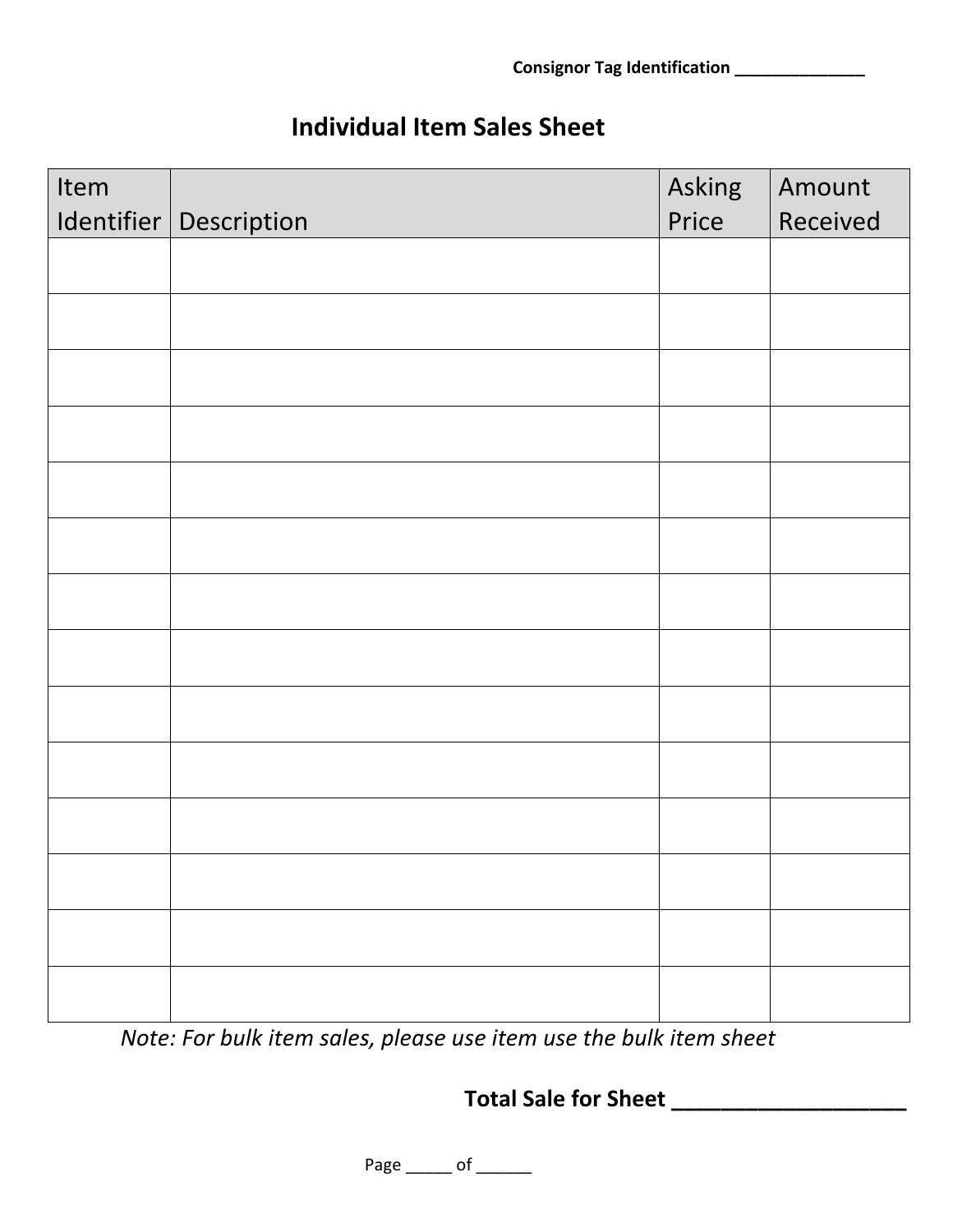staff use n

Ask staff for help with this part

## **Individual Item Sales Sheet**

| Item | Identifier   Description | Asking<br>Price | Amount<br>Received |
|------|--------------------------|-----------------|--------------------|
|      |                          |                 |                    |
|      |                          |                 |                    |
|      |                          |                 |                    |
|      |                          |                 |                    |
|      |                          |                 |                    |
|      |                          |                 |                    |
|      |                          |                 |                    |
|      |                          |                 |                    |
|      |                          |                 |                    |
|      |                          |                 |                    |
|      |                          |                 |                    |
|      |                          |                 |                    |
|      |                          |                 |                    |
|      |                          |                 |                    |

Note: For bulk item sales, please use item use the bulk item sheet

Total Sale for Sheet \_\_\_\_\_\_\_\_\_\_\_\_\_\_\_\_\_

Page \_\_\_\_\_\_ of \_\_\_\_\_\_